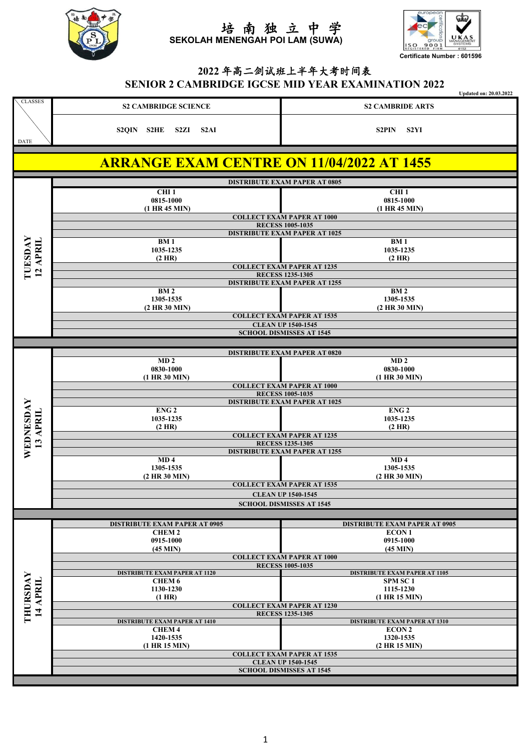



## **2022** 年高二剑试班上半年大考时间表 **SENIOR 2 CAMBRIDGE IGCSE MID YEAR EXAMINATION 2022**

|                |                                                  | <b>Updated on: 20.03.2022</b> |
|----------------|--------------------------------------------------|-------------------------------|
| <b>CLASSES</b> | <b>S2 CAMBRIDGE SCIENCE</b>                      | <b>S2 CAMBRIDE ARTS</b>       |
| DATE           | S2HE S2ZI S2AI<br>S2QIN                          | -S2YI<br><b>S2PIN</b>         |
|                |                                                  |                               |
|                | <b>ARRANGE EXAM CENTRE ON 11/04/2022 AT 1455</b> |                               |

|                       |                                                              | <b>DISTRIBUTE EXAM PAPER AT 0805</b>                            |  |
|-----------------------|--------------------------------------------------------------|-----------------------------------------------------------------|--|
|                       | CHI <sub>1</sub>                                             | CHI <sub>1</sub>                                                |  |
|                       | 0815-1000                                                    | 0815-1000                                                       |  |
|                       | (1 HR 45 MIN)                                                | (1 HR 45 MIN)<br><b>COLLECT EXAM PAPER AT 1000</b>              |  |
|                       |                                                              | <b>RECESS 1005-1035</b>                                         |  |
|                       |                                                              | <b>DISTRIBUTE EXAM PAPER AT 1025</b>                            |  |
| <b>LUESDAY</b>        | <b>BM1</b>                                                   | <b>BM1</b>                                                      |  |
|                       | 1035-1235                                                    | 1035-1235                                                       |  |
| 12 APRIL              | $(2$ HR)                                                     | (2 HR)<br><b>COLLECT EXAM PAPER AT 1235</b>                     |  |
|                       |                                                              | <b>RECESS 1235-1305</b>                                         |  |
|                       |                                                              | <b>DISTRIBUTE EXAM PAPER AT 1255</b>                            |  |
|                       | <b>BM2</b><br>1305-1535                                      | <b>BM2</b><br>1305-1535                                         |  |
|                       | (2 HR 30 MIN)                                                | $(2$ HR $30$ MIN)                                               |  |
|                       |                                                              | <b>COLLECT EXAM PAPER AT 1535</b>                               |  |
|                       |                                                              | <b>CLEAN UP 1540-1545</b>                                       |  |
|                       |                                                              | <b>SCHOOL DISMISSES AT 1545</b>                                 |  |
|                       |                                                              |                                                                 |  |
|                       | MD <sub>2</sub>                                              | <b>DISTRIBUTE EXAM PAPER AT 0820</b><br>MD <sub>2</sub>         |  |
|                       | 0830-1000                                                    | 0830-1000                                                       |  |
|                       | $(1$ HR 30 MIN)                                              | $(1$ HR 30 MIN)                                                 |  |
|                       |                                                              | <b>COLLECT EXAM PAPER AT 1000</b>                               |  |
|                       |                                                              | <b>RECESS 1005-1035</b><br><b>DISTRIBUTE EXAM PAPER AT 1025</b> |  |
|                       | ENG <sub>2</sub>                                             | ENG <sub>2</sub>                                                |  |
|                       | 1035-1235                                                    | 1035-1235                                                       |  |
|                       | $(2$ HR)                                                     | $(2$ HR)                                                        |  |
| WEDNESDAY<br>13 APRIL |                                                              | <b>COLLECT EXAM PAPER AT 1235</b>                               |  |
|                       |                                                              | <b>RECESS 1235-1305</b><br><b>DISTRIBUTE EXAM PAPER AT 1255</b> |  |
|                       | MD <sub>4</sub>                                              | MD <sub>4</sub>                                                 |  |
|                       | 1305-1535                                                    | 1305-1535                                                       |  |
|                       | (2 HR 30 MIN)                                                | (2 HR 30 MIN)                                                   |  |
|                       |                                                              | <b>COLLECT EXAM PAPER AT 1535</b>                               |  |
|                       | <b>CLEAN UP 1540-1545</b><br><b>SCHOOL DISMISSES AT 1545</b> |                                                                 |  |
|                       |                                                              |                                                                 |  |
|                       | <b>DISTRIBUTE EXAM PAPER AT 0905</b>                         | <b>DISTRIBUTE EXAM PAPER AT 0905</b>                            |  |
|                       | <b>CHEM2</b>                                                 | <b>ECON1</b>                                                    |  |
|                       | 0915-1000                                                    | 0915-1000                                                       |  |
|                       | $(45$ MIN $)$                                                | $(45$ MIN)<br><b>COLLECT EXAM PAPER AT 1000</b>                 |  |
|                       |                                                              | <b>RECESS 1005-1035</b>                                         |  |
|                       | <b>DISTRIBUTE EXAM PAPER AT 1120</b>                         | <b>DISTRIBUTE EXAM PAPER AT 1105</b>                            |  |
|                       | CHEM 6                                                       | SPM SC <sub>1</sub>                                             |  |
|                       | 1130-1230<br>$(1$ HR)                                        | 1115-1230<br>(1 HR 15 MIN)                                      |  |
|                       |                                                              | <b>COLLECT EXAM PAPER AT 1230</b>                               |  |
| THURSDAY<br>14 APRIL  |                                                              | <b>RECESS 1235-1305</b>                                         |  |
|                       | <b>DISTRIBUTE EXAM PAPER AT 1410</b>                         | <b>DISTRIBUTE EXAM PAPER AT 1310</b>                            |  |
|                       | <b>CHEM4</b><br>1420-1535                                    | <b>ECON 2</b><br>1320-1535                                      |  |
|                       | $(1$ HR $15$ MIN)                                            | (2 HR 15 MIN)                                                   |  |
|                       |                                                              | <b>COLLECT EXAM PAPER AT 1535</b>                               |  |
|                       |                                                              | <b>CLEAN UP 1540-1545</b>                                       |  |
|                       |                                                              | <b>SCHOOL DISMISSES AT 1545</b>                                 |  |
|                       |                                                              |                                                                 |  |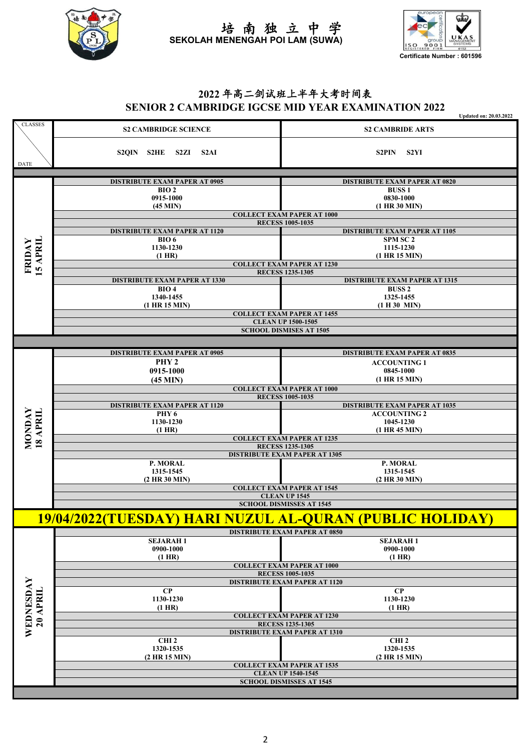

**Certificate Number : 601596**

### **2022** 年高二剑试班上半年大考时间表 **SENIOR 2 CAMBRIDGE IGCSE MID YEAR EXAMINATION 2022**

|                       |                                                                | <b>Updated on: 20.03.2022</b>                                |  |
|-----------------------|----------------------------------------------------------------|--------------------------------------------------------------|--|
| <b>CLASSES</b>        | <b>S2 CAMBRIDGE SCIENCE</b>                                    | <b>S2 CAMBRIDE ARTS</b>                                      |  |
|                       | S2QIN S2HE S2ZI S2AI                                           | S2PIN S2YI                                                   |  |
| DATE                  |                                                                |                                                              |  |
|                       | <b>DISTRIBUTE EXAM PAPER AT 0905</b>                           | <b>DISTRIBUTE EXAM PAPER AT 0820</b>                         |  |
|                       | BIO2                                                           | <b>BUSS1</b>                                                 |  |
|                       | 0915-1000                                                      | 0830-1000                                                    |  |
|                       | $(45$ MIN)                                                     | $(1$ HR 30 MIN)                                              |  |
|                       | <b>COLLECT EXAM PAPER AT 1000</b>                              |                                                              |  |
|                       | <b>RECESS 1005-1035</b>                                        |                                                              |  |
|                       | <b>DISTRIBUTE EXAM PAPER AT 1120</b><br>BIO6                   | <b>DISTRIBUTE EXAM PAPER AT 1105</b><br>SPM SC 2             |  |
|                       | 1130-1230                                                      | 1115-1230                                                    |  |
|                       | $(1$ HR)                                                       | $(1$ HR $15$ MIN)                                            |  |
| 5 APRIL<br>FRIDAY     |                                                                | <b>COLLECT EXAM PAPER AT 1230</b>                            |  |
|                       |                                                                | <b>RECESS 1235-1305</b>                                      |  |
|                       | <b>DISTRIBUTE EXAM PAPER AT 1330</b><br>BIO4                   | <b>DISTRIBUTE EXAM PAPER AT 1315</b><br><b>BUSS 2</b>        |  |
|                       | 1340-1455                                                      | 1325-1455                                                    |  |
|                       | $(1$ HR $15$ MIN)                                              | (1 H 30 MIN)                                                 |  |
|                       |                                                                | <b>COLLECT EXAM PAPER AT 1455</b>                            |  |
|                       |                                                                | <b>CLEAN UP 1500-1505</b>                                    |  |
|                       |                                                                | <b>SCHOOL DISMISES AT 1505</b>                               |  |
|                       |                                                                |                                                              |  |
|                       | <b>DISTRIBUTE EXAM PAPER AT 0905</b>                           | <b>DISTRIBUTE EXAM PAPER AT 0835</b>                         |  |
|                       | PHY <sub>2</sub>                                               | <b>ACCOUNTING 1</b>                                          |  |
|                       | 0915-1000                                                      | 0845-1000                                                    |  |
|                       | $(45$ MIN)                                                     | $(1$ HR $15$ MIN)                                            |  |
|                       |                                                                | <b>COLLECT EXAM PAPER AT 1000</b><br><b>RECESS 1005-1035</b> |  |
|                       | <b>DISTRIBUTE EXAM PAPER AT 1120</b>                           | <b>DISTRIBUTE EXAM PAPER AT 1035</b>                         |  |
|                       | PHY <sub>6</sub>                                               | <b>ACCOUNTING 2</b>                                          |  |
|                       | 1130-1230                                                      | 1045-1230                                                    |  |
| MONDAY<br>18 APRIL    | $(1$ HR)                                                       | $(1$ HR 45 MIN)                                              |  |
|                       | <b>COLLECT EXAM PAPER AT 1235</b><br><b>RECESS 1235-1305</b>   |                                                              |  |
|                       |                                                                | <b>DISTRIBUTE EXAM PAPER AT 1305</b>                         |  |
|                       | P. MORAL                                                       | P. MORAL                                                     |  |
|                       | 1315-1545                                                      | 1315-1545                                                    |  |
|                       | (2 HR 30 MIN)                                                  | $(2$ HR 30 MIN)                                              |  |
|                       |                                                                | <b>COLLECT EXAM PAPER AT 1545</b><br><b>CLEAN UP 1545</b>    |  |
|                       |                                                                | <b>SCHOOL DISMISSES AT 1545</b>                              |  |
|                       |                                                                |                                                              |  |
|                       | 19/04/2022(TUESDAY) HARI NUZUL AL-QURAN (PUBLIC HOLIDAY)       |                                                              |  |
|                       |                                                                | <b>DISTRIBUTE EXAM PAPER AT 0850</b>                         |  |
|                       | <b>SEJARAH1</b><br>0900-1000                                   | <b>SEJARAH1</b><br>0900-1000                                 |  |
|                       | $(1$ HR)                                                       | $(1$ HR)                                                     |  |
|                       |                                                                | <b>COLLECT EXAM PAPER AT 1000</b>                            |  |
|                       | <b>RECESS 1005-1035</b>                                        |                                                              |  |
|                       | <b>DISTRIBUTE EXAM PAPER AT 1120</b>                           |                                                              |  |
|                       | $\bf CP$                                                       | $\bf CP$                                                     |  |
|                       | 1130-1230                                                      | 1130-1230<br>$(1$ HR)                                        |  |
|                       | $(1$ HR)                                                       | <b>COLLECT EXAM PAPER AT 1230</b>                            |  |
| WEDNESDAY<br>20 APRIL | <b>RECESS 1235-1305</b>                                        |                                                              |  |
|                       | <b>DISTRIBUTE EXAM PAPER AT 1310</b>                           |                                                              |  |
|                       | CHI <sub>2</sub>                                               | CHI <sub>2</sub>                                             |  |
|                       | 1320-1535                                                      | 1320-1535                                                    |  |
|                       | (2 HR 15 MIN)                                                  | (2 HR 15 MIN)                                                |  |
|                       | <b>COLLECT EXAM PAPER AT 1535</b><br><b>CLEAN UP 1540-1545</b> |                                                              |  |
|                       |                                                                | <b>SCHOOL DISMISSES AT 1545</b>                              |  |
|                       |                                                                |                                                              |  |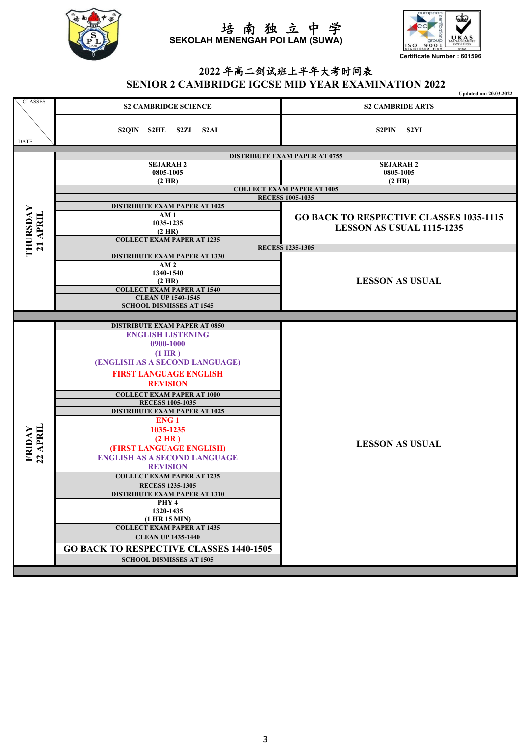



# **2022** 年高二剑试班上半年大考时间表 **SENIOR 2 CAMBRIDGE IGCSE MID YEAR EXAMINATION 2022**

|                    |                                                                             | <b>Updated on: 20.03.2022</b>                  |  |
|--------------------|-----------------------------------------------------------------------------|------------------------------------------------|--|
| <b>CLASSES</b>     | <b>S2 CAMBRIDGE SCIENCE</b>                                                 | <b>S2 CAMBRIDE ARTS</b>                        |  |
| DATE               | S2QIN S2HE S2ZI S2AI                                                        | S2PIN S2YI                                     |  |
|                    |                                                                             |                                                |  |
|                    | <b>DISTRIBUTE EXAM PAPER AT 0755</b><br><b>SEJARAH 2</b><br><b>SEJARAH2</b> |                                                |  |
|                    | 0805-1005                                                                   | 0805-1005                                      |  |
|                    | $(2$ HR)                                                                    | $(2$ HR)                                       |  |
|                    | <b>COLLECT EXAM PAPER AT 1005</b>                                           |                                                |  |
|                    |                                                                             | <b>RECESS 1005-1035</b>                        |  |
|                    | <b>DISTRIBUTE EXAM PAPER AT 1025</b><br>AM1                                 |                                                |  |
|                    | 1035-1235                                                                   | <b>GO BACK TO RESPECTIVE CLASSES 1035-1115</b> |  |
|                    | $(2$ HR)                                                                    | LESSON AS USUAL 1115-1235                      |  |
| 21 APRIL           | <b>COLLECT EXAM PAPER AT 1235</b>                                           |                                                |  |
| THURSDAY           |                                                                             | <b>RECESS 1235-1305</b>                        |  |
|                    | <b>DISTRIBUTE EXAM PAPER AT 1330</b><br>AM <sub>2</sub>                     |                                                |  |
|                    | 1340-1540                                                                   |                                                |  |
|                    | (2 HR)                                                                      | <b>LESSON AS USUAL</b>                         |  |
|                    | <b>COLLECT EXAM PAPER AT 1540</b>                                           |                                                |  |
|                    | <b>CLEAN UP 1540-1545</b>                                                   |                                                |  |
|                    | <b>SCHOOL DISMISSES AT 1545</b>                                             |                                                |  |
|                    | <b>DISTRIBUTE EXAM PAPER AT 0850</b>                                        |                                                |  |
|                    | <b>ENGLISH LISTENING</b>                                                    |                                                |  |
|                    | 0900-1000                                                                   |                                                |  |
|                    | $(1$ HR)                                                                    |                                                |  |
|                    | (ENGLISH AS A SECOND LANGUAGE)                                              |                                                |  |
|                    | <b>FIRST LANGUAGE ENGLISH</b>                                               |                                                |  |
|                    | <b>REVISION</b>                                                             |                                                |  |
|                    | <b>COLLECT EXAM PAPER AT 1000</b>                                           |                                                |  |
|                    | <b>RECESS 1005-1035</b>                                                     |                                                |  |
|                    | <b>DISTRIBUTE EXAM PAPER AT 1025</b>                                        |                                                |  |
|                    | <b>ENG1</b>                                                                 |                                                |  |
|                    | 1035-1235                                                                   | <b>LESSON AS USUAL</b>                         |  |
|                    | (2 HR)<br>(FIRST LANGUAGE ENGLISH)                                          |                                                |  |
| FRIDAY<br>22 APRIL | <b>ENGLISH AS A SECOND LANGUAGE</b>                                         |                                                |  |
|                    | <b>REVISION</b>                                                             |                                                |  |
|                    | <b>COLLECT EXAM PAPER AT 1235</b>                                           |                                                |  |
|                    | <b>RECESS 1235-1305</b>                                                     |                                                |  |
|                    | <b>DISTRIBUTE EXAM PAPER AT 1310</b>                                        |                                                |  |
|                    | PHY 4                                                                       |                                                |  |
|                    | 1320-1435<br>$(1$ HR $15$ MIN)                                              |                                                |  |
|                    | <b>COLLECT EXAM PAPER AT 1435</b>                                           |                                                |  |
|                    | <b>CLEAN UP 1435-1440</b>                                                   |                                                |  |
|                    | <b>GO BACK TO RESPECTIVE CLASSES 1440-1505</b>                              |                                                |  |
|                    | <b>SCHOOL DISMISSES AT 1505</b>                                             |                                                |  |
|                    |                                                                             |                                                |  |
|                    |                                                                             |                                                |  |